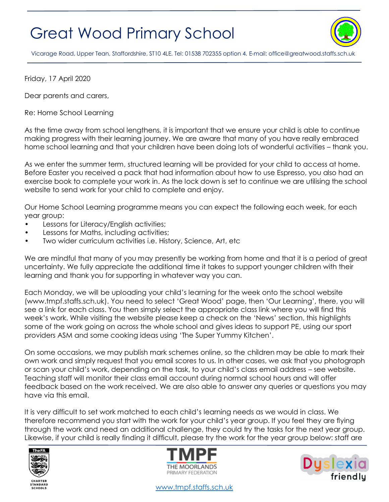## Great Wood Primary School



Vicarage Road, Upper Tean, Staffordshire, ST10 4LE. Tel: 01538 702355 option 4. E-mail[: office@greatwood.staffs.sch.uk](mailto:office@greatwood.staffs.sch.uk)

Friday, 17 April 2020

Dear parents and carers,

Re: Home School Learning

As the time away from school lengthens, it is important that we ensure your child is able to continue making progress with their learning journey. We are aware that many of you have really embraced home school learning and that your children have been doing lots of wonderful activities – thank you.

As we enter the summer term, structured learning will be provided for your child to access at home. Before Easter you received a pack that had information about how to use Espresso, you also had an exercise book to complete your work in. As the lock down is set to continue we are utilising the school website to send work for your child to complete and enjoy.

Our Home School Learning programme means you can expect the following each week, for each year group:

- Lessons for Literacy/English activities;
- Lessons for Maths, including activities;
- Two wider curriculum activities i.e. History, Science, Art, etc.

We are mindful that many of you may presently be working from home and that it is a period of great uncertainty. We fully appreciate the additional time it takes to support younger children with their learning and thank you for supporting in whatever way you can.

Each Monday, we will be uploading your child's learning for the week onto the school website (www.tmpf.staffs.sch.uk). You need to select 'Great Wood' page, then 'Our Learning', there, you will see a link for each class. You then simply select the appropriate class link where you will find this week's work. While visiting the website please keep a check on the 'News' section, this highlights some of the work going on across the whole school and gives ideas to support PE, using our sport providers ASM and some cooking ideas using 'The Super Yummy Kitchen'.

On some occasions, we may publish mark schemes online, so the children may be able to mark their own work and simply request that you email scores to us. In other cases, we ask that you photograph or scan your child's work, depending on the task, to your child's class email address – see website. Teaching staff will monitor their class email account during normal school hours and will offer feedback based on the work received. We are also able to answer any queries or questions you may have via this email.

It is very difficult to set work matched to each child's learning needs as we would in class. We therefore recommend you start with the work for your child's year group. If you feel they are flying through the work and need an additional challenge, they could try the tasks for the next year group. Likewise, if your child is really finding it difficult, please try the work for the year group below: staff are







[www.tmpf.staffs.sch.uk](http://www.tmpf.staffs.sch.uk/)